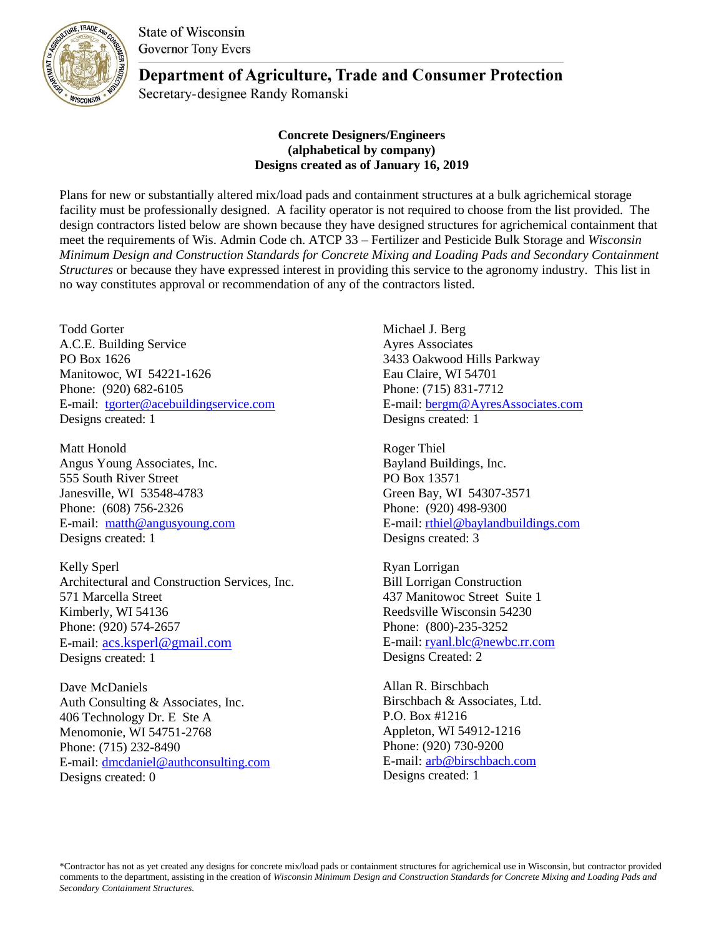**State of Wisconsin Governor Tony Evers** 



**Department of Agriculture, Trade and Consumer Protection** 

Secretary-designee Randy Romanski

## **Concrete Designers/Engineers (alphabetical by company) Designs created as of January 16, 2019**

Plans for new or substantially altered mix/load pads and containment structures at a bulk agrichemical storage facility must be professionally designed. A facility operator is not required to choose from the list provided. The design contractors listed below are shown because they have designed structures for agrichemical containment that meet the requirements of Wis. Admin Code ch. ATCP 33 – Fertilizer and Pesticide Bulk Storage and *Wisconsin Minimum Design and Construction Standards for Concrete Mixing and Loading Pads and Secondary Containment Structures* or because they have expressed interest in providing this service to the agronomy industry*.* This list in no way constitutes approval or recommendation of any of the contractors listed.

Todd Gorter A.C.E. Building Service PO Box 1626 Manitowoc, WI 54221-1626 Phone: (920) 682-6105 E-mail: [tgorter@acebuildingservice.com](mailto:tgorter@acebuildingservice.com) Designs created: 1

Matt Honold Angus Young Associates, Inc. 555 South River Street Janesville, WI 53548-4783 Phone: (608) 756-2326 E-mail: [matth@angusyoung.com](mailto:matth@angusyoung.com) Designs created: 1

Kelly Sperl Architectural and Construction Services, Inc. 571 Marcella Street Kimberly, WI 54136 Phone: (920) 574-2657 E-mail: [acs.ksperl@gmail.com](mailto:acs.ksperl@gmail.com) Designs created: 1

Dave McDaniels Auth Consulting & Associates, Inc. 406 Technology Dr. E Ste A Menomonie, WI 54751-2768 Phone: (715) 232-8490 E-mail: [dmcdaniel@authconsulting.com](mailto:dmcdaniel@authconsulting.com) Designs created: 0

Michael J. Berg Ayres Associates 3433 Oakwood Hills Parkway Eau Claire, WI 54701 Phone: (715) 831-7712 E-mail: [bergm@AyresAssociates.com](mailto:bergm@AyresAssociates.com) Designs created: 1

Roger Thiel Bayland Buildings, Inc. PO Box 13571 Green Bay, WI 54307-3571 Phone: (920) 498-9300 E-mail: [rthiel@baylandbuildings.com](mailto:rthiel@baylandbuildings.com) Designs created: 3

Ryan Lorrigan Bill Lorrigan Construction 437 Manitowoc Street Suite 1 Reedsville Wisconsin 54230 Phone: (800)-235-3252 E-mail[: ryanl.blc@newbc.rr.com](mailto:ryanl.blc@newbc.rr.com) Designs Created: 2

Allan R. Birschbach Birschbach & Associates, Ltd. P.O. Box #1216 Appleton, WI 54912-1216 Phone: (920) 730-9200 E-mail: [arb@birschbach.com](mailto:arb@birschbach.com) Designs created: 1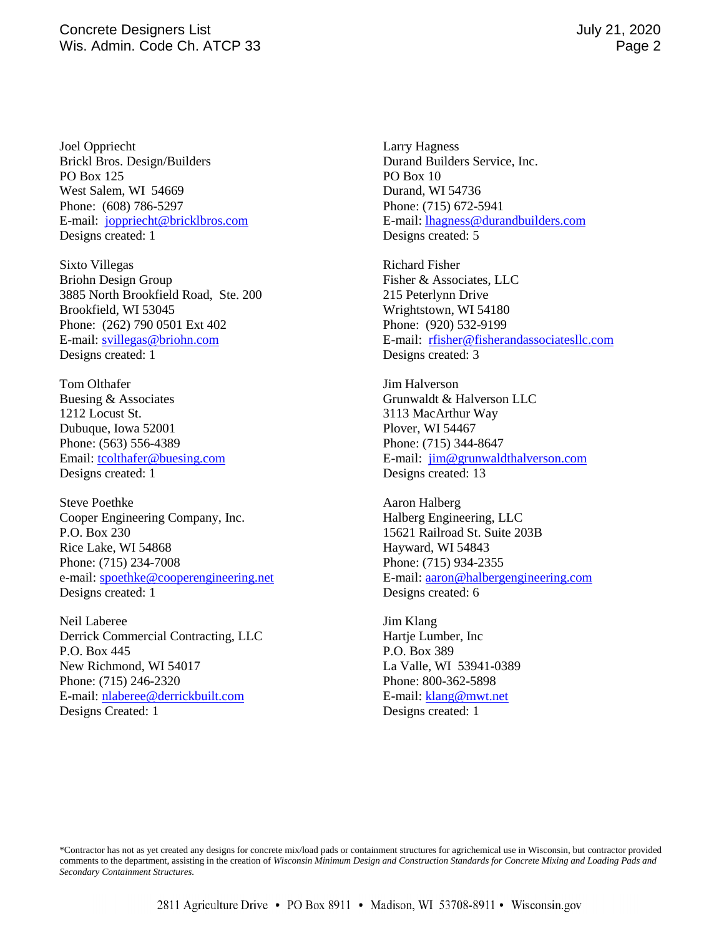Joel Oppriecht Brickl Bros. Design/Builders PO Box 125 West Salem, WI 54669 Phone: (608) 786-5297 E-mail: [joppriecht@bricklbros.com](mailto:joppriecht@bricklbros.com) Designs created: 1

Sixto Villegas Briohn Design Group 3885 North Brookfield Road, Ste. 200 Brookfield, WI 53045 Phone: (262) 790 0501 Ext 402 E-mail: [svillegas@briohn.com](mailto:svillegas@briohn.com) Designs created: 1

Tom Olthafer Buesing & Associates 1212 Locust St. Dubuque, Iowa 52001 Phone: (563) 556-4389 Email: [tcolthafer@buesing.com](mailto:tcolthafer@buesing.com) Designs created: 1

Steve Poethke Cooper Engineering Company, Inc. P.O. Box 230 Rice Lake, WI 54868 Phone: (715) 234-7008 e-mail: [spoethke@cooperengineering.net](mailto:spoethke@cooperengineering.net) Designs created: 1

Neil Laberee Derrick Commercial Contracting, LLC P.O. Box 445 New Richmond, WI 54017 Phone: (715) 246-2320 E-mail: [nlaberee@derrickbuilt.com](mailto:nlaberee@derrickbuilt.com) Designs Created: 1

Larry Hagness Durand Builders Service, Inc. PO Box 10 Durand, WI 54736 Phone: (715) 672-5941 E-mail: [lhagness@durandbuilders.com](mailto:lhagness@durandbuilders.com) Designs created: 5

Richard Fisher Fisher & Associates, LLC 215 Peterlynn Drive Wrightstown, WI 54180 Phone: (920) 532-9199 E-mail: [rfisher@fisherandassociatesllc.com](mailto:rfisher@fisherandassociatesllc.com) Designs created: 3

Jim Halverson Grunwaldt & Halverson LLC 3113 MacArthur Way Plover, WI 54467 Phone: (715) 344-8647 E-mail: [jim@grunwaldthalverson.com](mailto:jim@grunwaldthalverson.com) Designs created: 13

Aaron Halberg Halberg Engineering, LLC 15621 Railroad St. Suite 203B Hayward, WI 54843 Phone: (715) 934-2355 E-mail[: aaron@halbergengineering.com](mailto:aaron@halbergengineering.com) Designs created: 6

Jim Klang Hartje Lumber, Inc P.O. Box 389 La Valle, WI 53941-0389 Phone: 800-362-5898 E-mail[: klang@mwt.net](mailto:klang@mwt.net) Designs created: 1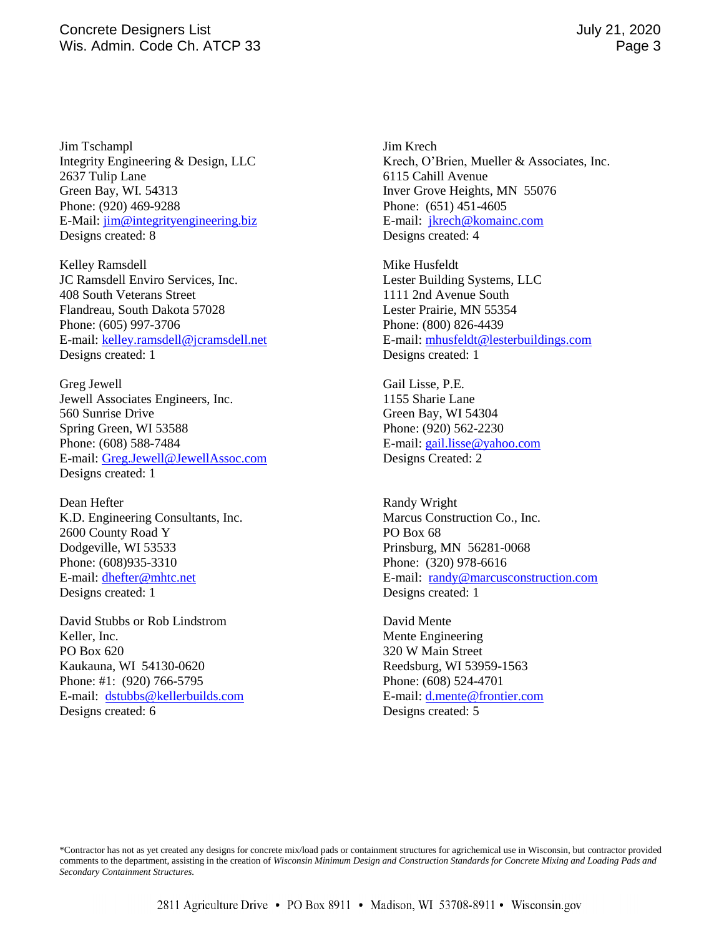Jim Tschampl Integrity Engineering & Design, LLC 2637 Tulip Lane Green Bay, WI. 54313 Phone: (920) 469-9288 E-Mail: [jim@integrityengineering.biz](mailto:jim@integrityengineering.biz) Designs created: 8

Kelley Ramsdell JC Ramsdell Enviro Services, Inc. 408 South Veterans Street Flandreau, South Dakota 57028 Phone: (605) 997-3706 E-mail: [kelley.ramsdell@jcramsdell.net](mailto:kelley.ramsdell@jcramsdell.net) Designs created: 1

Greg Jewell Jewell Associates Engineers, Inc. 560 Sunrise Drive Spring Green, WI 53588 Phone: (608) 588-7484 E-mail: [Greg.Jewell@JewellAssoc.com](mailto:Greg.Jewell@JewellAssoc.com) Designs created: 1

Dean Hefter K.D. Engineering Consultants, Inc. 2600 County Road Y Dodgeville, WI 53533 Phone: (608)935-3310 E-mail: [dhefter@mhtc.net](mailto:dhefter@mhtc.net) Designs created: 1

David Stubbs or Rob Lindstrom Keller, Inc. PO Box 620 Kaukauna, WI 54130-0620 Phone: #1: (920) 766-5795 E-mail: [dstubbs@kellerbuilds.com](mailto:dstubbs@kellerbuilds.com) Designs created: 6

Jim Krech Krech, O'Brien, Mueller & Associates, Inc. 6115 Cahill Avenue Inver Grove Heights, MN 55076 Phone: (651) 451-4605 E-mail: [jkrech@komainc.com](mailto:jkrech@komainc.com) Designs created: 4

Mike Husfeldt Lester Building Systems, LLC 1111 2nd Avenue South Lester Prairie, MN 55354 Phone: (800) 826-4439 E-mail[: mhusfeldt@lesterbuildings.com](mailto:mhusfeldt@lesterbuildings.com) Designs created: 1

Gail Lisse, P.E. 1155 Sharie Lane Green Bay, WI 54304 Phone: (920) 562-2230 E-mail[: gail.lisse@yahoo.com](mailto:gail.lisse@yahoo.com) Designs Created: 2

Randy Wright Marcus Construction Co., Inc. PO Box 68 Prinsburg, MN 56281-0068 Phone: (320) 978-6616 E-mail: [randy@marcusconstruction.com](mailto:randy@marcusconstruction.com) Designs created: 1

David Mente Mente Engineering 320 W Main Street Reedsburg, WI 53959-1563 Phone: (608) 524-4701 E-mail[: d.mente@frontier.com](mailto:d.mente@frontier.com) Designs created: 5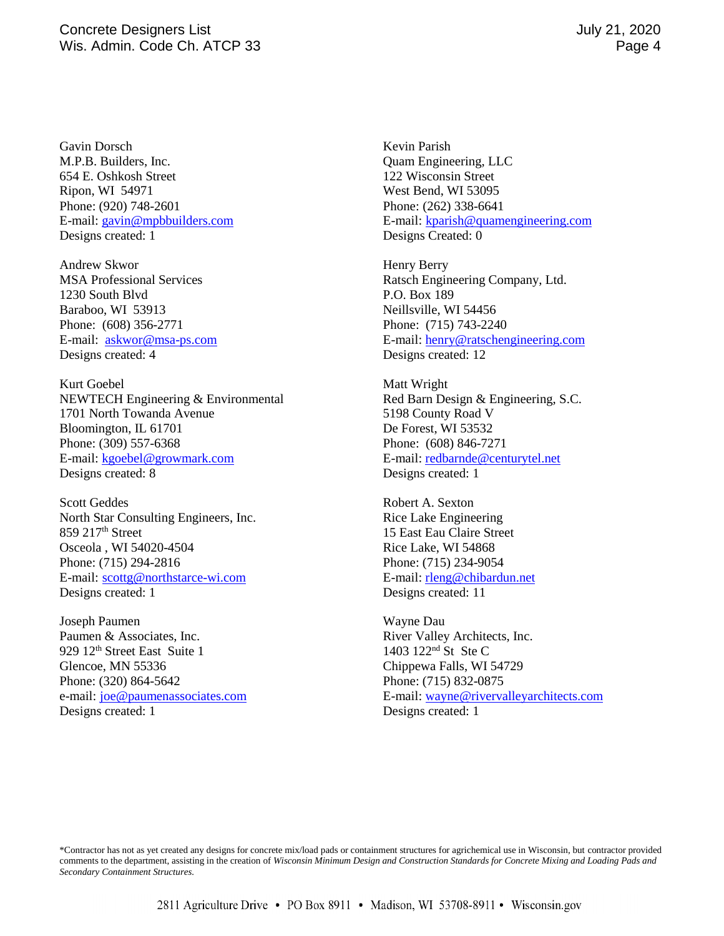Gavin Dorsch M.P.B. Builders, Inc. 654 E. Oshkosh Street Ripon, WI 54971 Phone: (920) 748-2601 E-mail: [gavin@mpbbuilders.com](mailto:gavin@mpbbuilders.com) Designs created: 1

Andrew Skwor MSA Professional Services 1230 South Blvd Baraboo, WI 53913 Phone: (608) 356-2771 E-mail: [askwor@msa-ps.com](mailto:askwor@msa-ps.com) Designs created: 4

Kurt Goebel NEWTECH Engineering & Environmental 1701 North Towanda Avenue Bloomington, IL 61701 Phone: (309) 557-6368 E-mail: [kgoebel@growmark.com](mailto:kgoebel@growmark.com) Designs created: 8

Scott Geddes North Star Consulting Engineers, Inc. 859 217th Street Osceola , WI 54020-4504 Phone: (715) 294-2816 E-mail: [scottg@northstarce-wi.com](mailto:scottg@northstarce-wi.com) Designs created: 1

Joseph Paumen Paumen & Associates, Inc. 929 12<sup>th</sup> Street East Suite 1 Glencoe, MN 55336 Phone: (320) 864-5642 e-mail: [joe@paumenassociates.com](mailto:joe@paumenassociates.com) Designs created: 1

Kevin Parish Quam Engineering, LLC 122 Wisconsin Street West Bend, WI 53095 Phone: (262) 338-6641 E-mail: [kparish@quamengineering.com](mailto:kparish@quamengineering.com) Designs Created: 0

Henry Berry Ratsch Engineering Company, Ltd. P.O. Box 189 Neillsville, WI 54456 Phone: (715) 743-2240 E-mail[: henry@ratschengineering.com](mailto:henry@ratschengineering.com) Designs created: 12

Matt Wright Red Barn Design & Engineering, S.C. 5198 County Road V De Forest, WI 53532 Phone: (608) 846-7271 E-mail[: redbarnde@centurytel.net](mailto:redbarnde@centurytel.net) Designs created: 1

Robert A. Sexton Rice Lake Engineering 15 East Eau Claire Street Rice Lake, WI 54868 Phone: (715) 234-9054 E-mail[: rleng@chibardun.net](mailto:rleng@chibardun.net) Designs created: 11

Wayne Dau River Valley Architects, Inc. 1403 122<sup>nd</sup> St Ste C Chippewa Falls, WI 54729 Phone: (715) 832-0875 E-mail[: wayne@rivervalleyarchitects.com](mailto:wayne@rivervalleyarchitects.com) Designs created: 1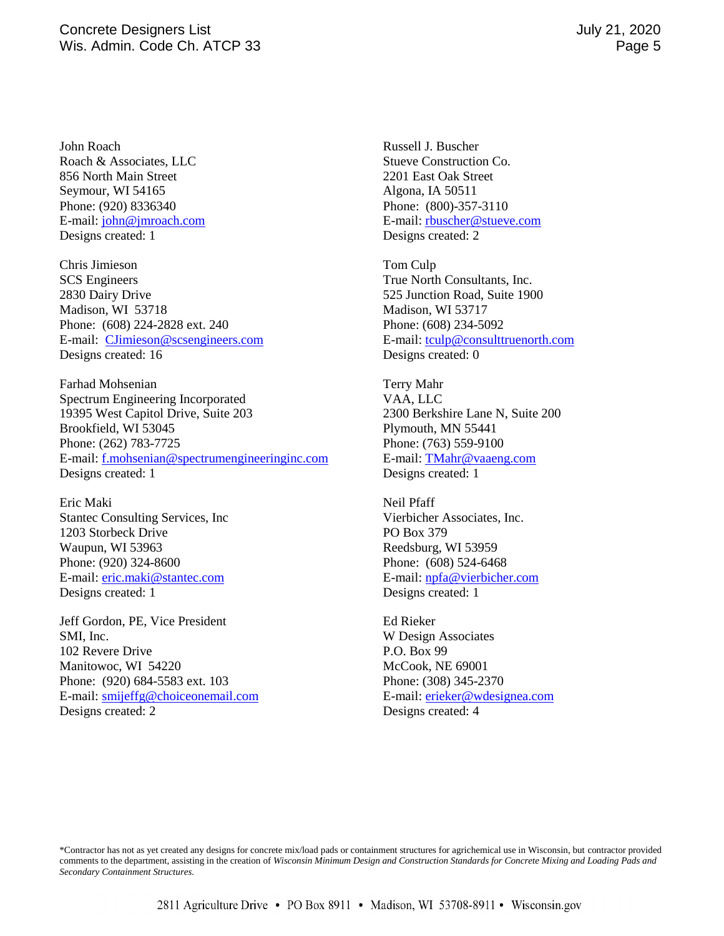John Roach Roach & Associates, LLC 856 North Main Street Seymour, WI 54165 Phone: (920) 8336340 E-mail: [john@jmroach.com](mailto:john@jmroach.com) Designs created: 1

Chris Jimieson SCS Engineers 2830 Dairy Drive Madison, WI 53718 Phone: (608) 224-2828 ext. 240 E-mail: [CJimieson@scsengineers.com](mailto:CJimieson@scsengineers.com) Designs created: 16

Farhad Mohsenian Spectrum Engineering Incorporated 19395 West Capitol Drive, Suite 203 Brookfield, WI 53045 Phone: (262) 783-7725 E-mail: [f.mohsenian@spectrumengineeringinc.com](mailto:f.mohsenian@spectrumengineeringinc.com) Designs created: 1

Eric Maki Stantec Consulting Services, Inc 1203 Storbeck Drive Waupun, WI 53963 Phone: (920) 324-8600 E-mail: [eric.maki@stantec.com](mailto:eric.maki@stantec.com) Designs created: 1

Jeff Gordon, PE, Vice President SMI, Inc. 102 Revere Drive Manitowoc, WI 54220 Phone: (920) 684-5583 ext. 103 E-mail: [smijeffg@choiceonemail.com](mailto:smijeffg@choiceonemail.com) Designs created: 2

Russell J. Buscher Stueve Construction Co. 2201 East Oak Street Algona, IA 50511 Phone: (800)-357-3110 E-mail[: rbuscher@stueve.com](mailto:rbuscher@stueve.com) Designs created: 2

Tom Culp True North Consultants, Inc. 525 Junction Road, Suite 1900 Madison, WI 53717 Phone: (608) 234-5092 E-mail[: tculp@consulttruenorth.com](mailto:tculp@consulttruenorth.com) Designs created: 0

Terry Mahr VAA, LLC 2300 Berkshire Lane N, Suite 200 Plymouth, MN 55441 Phone: (763) 559-9100 E-mail[: TMahr@vaaeng.com](mailto:TMahr@vaaeng.com) Designs created: 1

Neil Pfaff Vierbicher Associates, Inc. PO Box 379 Reedsburg, WI 53959 Phone: (608) 524-6468 E-mail[: npfa@vierbicher.com](mailto:npfa@vierbicher.com) Designs created: 1

Ed Rieker W Design Associates P.O. Box 99 McCook, NE 69001 Phone: (308) 345-2370 E-mail[: erieker@wdesignea.com](mailto:erieker@wdesignea.com) Designs created: 4